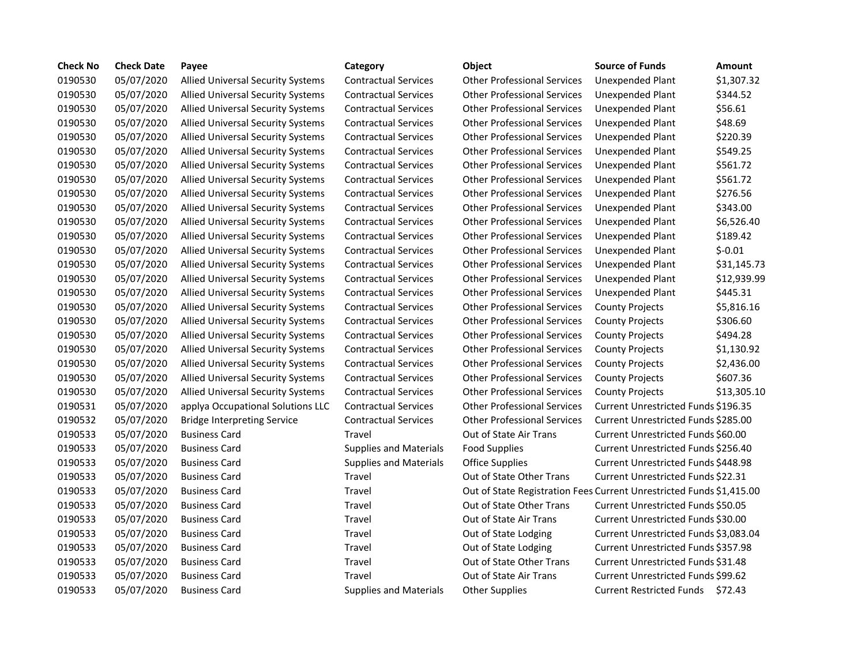| <b>Check No</b> | <b>Check Date</b> | Payee                                    | Category                      | <b>Object</b>                                                        | <b>Source of Funds</b>                    | Amount      |
|-----------------|-------------------|------------------------------------------|-------------------------------|----------------------------------------------------------------------|-------------------------------------------|-------------|
| 0190530         | 05/07/2020        | <b>Allied Universal Security Systems</b> | <b>Contractual Services</b>   | <b>Other Professional Services</b>                                   | Unexpended Plant                          | \$1,307.32  |
| 0190530         | 05/07/2020        | <b>Allied Universal Security Systems</b> | <b>Contractual Services</b>   | <b>Other Professional Services</b>                                   | Unexpended Plant                          | \$344.52    |
| 0190530         | 05/07/2020        | <b>Allied Universal Security Systems</b> | <b>Contractual Services</b>   | <b>Other Professional Services</b>                                   | Unexpended Plant                          | \$56.61     |
| 0190530         | 05/07/2020        | <b>Allied Universal Security Systems</b> | <b>Contractual Services</b>   | <b>Other Professional Services</b>                                   | Unexpended Plant                          | \$48.69     |
| 0190530         | 05/07/2020        | Allied Universal Security Systems        | <b>Contractual Services</b>   | <b>Other Professional Services</b>                                   | Unexpended Plant                          | \$220.39    |
| 0190530         | 05/07/2020        | Allied Universal Security Systems        | <b>Contractual Services</b>   | <b>Other Professional Services</b>                                   | Unexpended Plant                          | \$549.25    |
| 0190530         | 05/07/2020        | Allied Universal Security Systems        | <b>Contractual Services</b>   | <b>Other Professional Services</b>                                   | Unexpended Plant                          | \$561.72    |
| 0190530         | 05/07/2020        | Allied Universal Security Systems        | <b>Contractual Services</b>   | <b>Other Professional Services</b>                                   | Unexpended Plant                          | \$561.72    |
| 0190530         | 05/07/2020        | Allied Universal Security Systems        | <b>Contractual Services</b>   | <b>Other Professional Services</b>                                   | Unexpended Plant                          | \$276.56    |
| 0190530         | 05/07/2020        | Allied Universal Security Systems        | <b>Contractual Services</b>   | <b>Other Professional Services</b>                                   | Unexpended Plant                          | \$343.00    |
| 0190530         | 05/07/2020        | <b>Allied Universal Security Systems</b> | <b>Contractual Services</b>   | <b>Other Professional Services</b>                                   | Unexpended Plant                          | \$6,526.40  |
| 0190530         | 05/07/2020        | Allied Universal Security Systems        | <b>Contractual Services</b>   | <b>Other Professional Services</b>                                   | Unexpended Plant                          | \$189.42    |
| 0190530         | 05/07/2020        | Allied Universal Security Systems        | <b>Contractual Services</b>   | <b>Other Professional Services</b>                                   | Unexpended Plant                          | $$-0.01$    |
| 0190530         | 05/07/2020        | Allied Universal Security Systems        | <b>Contractual Services</b>   | <b>Other Professional Services</b>                                   | Unexpended Plant                          | \$31,145.73 |
| 0190530         | 05/07/2020        | Allied Universal Security Systems        | <b>Contractual Services</b>   | <b>Other Professional Services</b>                                   | Unexpended Plant                          | \$12,939.99 |
| 0190530         | 05/07/2020        | Allied Universal Security Systems        | <b>Contractual Services</b>   | <b>Other Professional Services</b>                                   | Unexpended Plant                          | \$445.31    |
| 0190530         | 05/07/2020        | Allied Universal Security Systems        | <b>Contractual Services</b>   | <b>Other Professional Services</b>                                   | <b>County Projects</b>                    | \$5,816.16  |
| 0190530         | 05/07/2020        | Allied Universal Security Systems        | <b>Contractual Services</b>   | <b>Other Professional Services</b>                                   | <b>County Projects</b>                    | \$306.60    |
| 0190530         | 05/07/2020        | Allied Universal Security Systems        | <b>Contractual Services</b>   | <b>Other Professional Services</b>                                   | <b>County Projects</b>                    | \$494.28    |
| 0190530         | 05/07/2020        | Allied Universal Security Systems        | <b>Contractual Services</b>   | <b>Other Professional Services</b>                                   | <b>County Projects</b>                    | \$1,130.92  |
| 0190530         | 05/07/2020        | Allied Universal Security Systems        | <b>Contractual Services</b>   | <b>Other Professional Services</b>                                   | <b>County Projects</b>                    | \$2,436.00  |
| 0190530         | 05/07/2020        | Allied Universal Security Systems        | <b>Contractual Services</b>   | <b>Other Professional Services</b>                                   | <b>County Projects</b>                    | \$607.36    |
| 0190530         | 05/07/2020        | Allied Universal Security Systems        | <b>Contractual Services</b>   | <b>Other Professional Services</b>                                   | <b>County Projects</b>                    | \$13,305.10 |
| 0190531         | 05/07/2020        | applya Occupational Solutions LLC        | <b>Contractual Services</b>   | <b>Other Professional Services</b>                                   | Current Unrestricted Funds \$196.35       |             |
| 0190532         | 05/07/2020        | <b>Bridge Interpreting Service</b>       | <b>Contractual Services</b>   | <b>Other Professional Services</b>                                   | Current Unrestricted Funds \$285.00       |             |
| 0190533         | 05/07/2020        | <b>Business Card</b>                     | Travel                        | Out of State Air Trans                                               | Current Unrestricted Funds \$60.00        |             |
| 0190533         | 05/07/2020        | <b>Business Card</b>                     | <b>Supplies and Materials</b> | <b>Food Supplies</b>                                                 | Current Unrestricted Funds \$256.40       |             |
| 0190533         | 05/07/2020        | <b>Business Card</b>                     | <b>Supplies and Materials</b> | <b>Office Supplies</b>                                               | Current Unrestricted Funds \$448.98       |             |
| 0190533         | 05/07/2020        | <b>Business Card</b>                     | Travel                        | Out of State Other Trans                                             | Current Unrestricted Funds \$22.31        |             |
| 0190533         | 05/07/2020        | <b>Business Card</b>                     | Travel                        | Out of State Registration Fees Current Unrestricted Funds \$1,415.00 |                                           |             |
| 0190533         | 05/07/2020        | <b>Business Card</b>                     | Travel                        | Out of State Other Trans                                             | Current Unrestricted Funds \$50.05        |             |
| 0190533         | 05/07/2020        | <b>Business Card</b>                     | Travel                        | Out of State Air Trans                                               | Current Unrestricted Funds \$30.00        |             |
| 0190533         | 05/07/2020        | <b>Business Card</b>                     | Travel                        | Out of State Lodging                                                 | Current Unrestricted Funds \$3,083.04     |             |
| 0190533         | 05/07/2020        | <b>Business Card</b>                     | Travel                        | Out of State Lodging                                                 | Current Unrestricted Funds \$357.98       |             |
| 0190533         | 05/07/2020        | <b>Business Card</b>                     | Travel                        | Out of State Other Trans                                             | Current Unrestricted Funds \$31.48        |             |
| 0190533         | 05/07/2020        | <b>Business Card</b>                     | Travel                        | Out of State Air Trans                                               | <b>Current Unrestricted Funds \$99.62</b> |             |
| 0190533         | 05/07/2020        | <b>Business Card</b>                     | <b>Supplies and Materials</b> | <b>Other Supplies</b>                                                | Current Restricted Funds \$72.43          |             |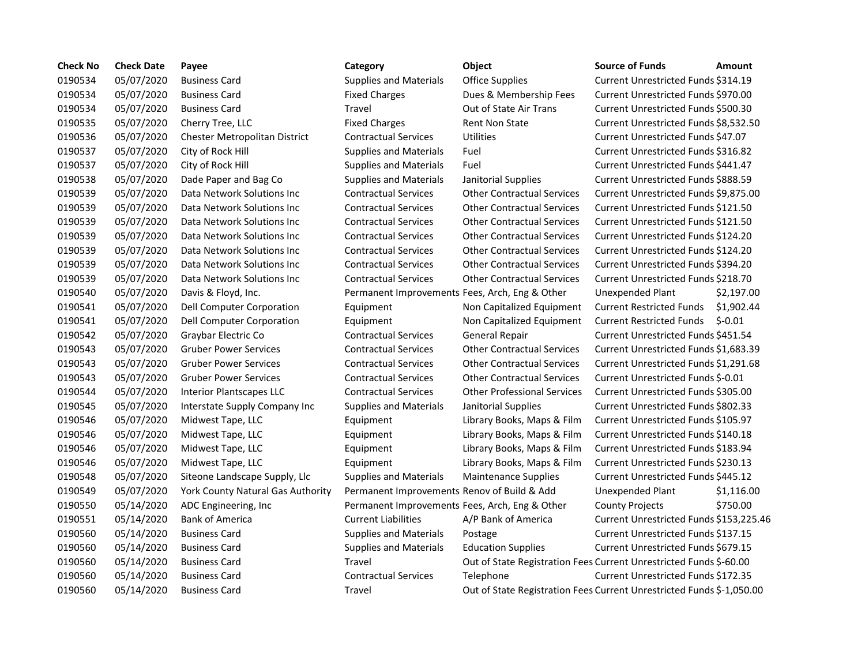| <b>Check No</b> | <b>Check Date</b> | Payee                             | Category                                       | Object                                                                | <b>Source of Funds</b>                  | <b>Amount</b> |
|-----------------|-------------------|-----------------------------------|------------------------------------------------|-----------------------------------------------------------------------|-----------------------------------------|---------------|
| 0190534         | 05/07/2020        | <b>Business Card</b>              | <b>Supplies and Materials</b>                  | <b>Office Supplies</b>                                                | Current Unrestricted Funds \$314.19     |               |
| 0190534         | 05/07/2020        | <b>Business Card</b>              | <b>Fixed Charges</b>                           | Dues & Membership Fees                                                | Current Unrestricted Funds \$970.00     |               |
| 0190534         | 05/07/2020        | <b>Business Card</b>              | Travel                                         | <b>Out of State Air Trans</b>                                         | Current Unrestricted Funds \$500.30     |               |
| 0190535         | 05/07/2020        | Cherry Tree, LLC                  | <b>Fixed Charges</b>                           | Rent Non State                                                        | Current Unrestricted Funds \$8,532.50   |               |
| 0190536         | 05/07/2020        | Chester Metropolitan District     | <b>Contractual Services</b>                    | <b>Utilities</b>                                                      | Current Unrestricted Funds \$47.07      |               |
| 0190537         | 05/07/2020        | City of Rock Hill                 | <b>Supplies and Materials</b>                  | Fuel                                                                  | Current Unrestricted Funds \$316.82     |               |
| 0190537         | 05/07/2020        | City of Rock Hill                 | <b>Supplies and Materials</b>                  | Fuel                                                                  | Current Unrestricted Funds \$441.47     |               |
| 0190538         | 05/07/2020        | Dade Paper and Bag Co             | <b>Supplies and Materials</b>                  | Janitorial Supplies                                                   | Current Unrestricted Funds \$888.59     |               |
| 0190539         | 05/07/2020        | Data Network Solutions Inc        | <b>Contractual Services</b>                    | <b>Other Contractual Services</b>                                     | Current Unrestricted Funds \$9,875.00   |               |
| 0190539         | 05/07/2020        | Data Network Solutions Inc        | <b>Contractual Services</b>                    | <b>Other Contractual Services</b>                                     | Current Unrestricted Funds \$121.50     |               |
| 0190539         | 05/07/2020        | Data Network Solutions Inc        | <b>Contractual Services</b>                    | <b>Other Contractual Services</b>                                     | Current Unrestricted Funds \$121.50     |               |
| 0190539         | 05/07/2020        | Data Network Solutions Inc        | <b>Contractual Services</b>                    | <b>Other Contractual Services</b>                                     | Current Unrestricted Funds \$124.20     |               |
| 0190539         | 05/07/2020        | Data Network Solutions Inc        | <b>Contractual Services</b>                    | <b>Other Contractual Services</b>                                     | Current Unrestricted Funds \$124.20     |               |
| 0190539         | 05/07/2020        | Data Network Solutions Inc        | <b>Contractual Services</b>                    | <b>Other Contractual Services</b>                                     | Current Unrestricted Funds \$394.20     |               |
| 0190539         | 05/07/2020        | Data Network Solutions Inc        | <b>Contractual Services</b>                    | <b>Other Contractual Services</b>                                     | Current Unrestricted Funds \$218.70     |               |
| 0190540         | 05/07/2020        | Davis & Floyd, Inc.               | Permanent Improvements Fees, Arch, Eng & Other |                                                                       | Unexpended Plant                        | \$2,197.00    |
| 0190541         | 05/07/2020        | Dell Computer Corporation         | Equipment                                      | Non Capitalized Equipment                                             | <b>Current Restricted Funds</b>         | \$1,902.44    |
| 0190541         | 05/07/2020        | Dell Computer Corporation         | Equipment                                      | Non Capitalized Equipment                                             | <b>Current Restricted Funds</b>         | $$-0.01$      |
| 0190542         | 05/07/2020        | Graybar Electric Co               | <b>Contractual Services</b>                    | General Repair                                                        | Current Unrestricted Funds \$451.54     |               |
| 0190543         | 05/07/2020        | <b>Gruber Power Services</b>      | <b>Contractual Services</b>                    | <b>Other Contractual Services</b>                                     | Current Unrestricted Funds \$1,683.39   |               |
| 0190543         | 05/07/2020        | <b>Gruber Power Services</b>      | <b>Contractual Services</b>                    | <b>Other Contractual Services</b>                                     | Current Unrestricted Funds \$1,291.68   |               |
| 0190543         | 05/07/2020        | <b>Gruber Power Services</b>      | <b>Contractual Services</b>                    | <b>Other Contractual Services</b>                                     | Current Unrestricted Funds \$-0.01      |               |
| 0190544         | 05/07/2020        | <b>Interior Plantscapes LLC</b>   | <b>Contractual Services</b>                    | <b>Other Professional Services</b>                                    | Current Unrestricted Funds \$305.00     |               |
| 0190545         | 05/07/2020        | Interstate Supply Company Inc     | <b>Supplies and Materials</b>                  | Janitorial Supplies                                                   | Current Unrestricted Funds \$802.33     |               |
| 0190546         | 05/07/2020        | Midwest Tape, LLC                 | Equipment                                      | Library Books, Maps & Film                                            | Current Unrestricted Funds \$105.97     |               |
| 0190546         | 05/07/2020        | Midwest Tape, LLC                 | Equipment                                      | Library Books, Maps & Film                                            | Current Unrestricted Funds \$140.18     |               |
| 0190546         | 05/07/2020        | Midwest Tape, LLC                 | Equipment                                      | Library Books, Maps & Film                                            | Current Unrestricted Funds \$183.94     |               |
| 0190546         | 05/07/2020        | Midwest Tape, LLC                 | Equipment                                      | Library Books, Maps & Film                                            | Current Unrestricted Funds \$230.13     |               |
| 0190548         | 05/07/2020        | Siteone Landscape Supply, Llc     | <b>Supplies and Materials</b>                  | <b>Maintenance Supplies</b>                                           | Current Unrestricted Funds \$445.12     |               |
| 0190549         | 05/07/2020        | York County Natural Gas Authority | Permanent Improvements Renov of Build & Add    |                                                                       | Unexpended Plant                        | \$1,116.00    |
| 0190550         | 05/14/2020        | ADC Engineering, Inc              | Permanent Improvements Fees, Arch, Eng & Other |                                                                       | <b>County Projects</b>                  | \$750.00      |
| 0190551         | 05/14/2020        | <b>Bank of America</b>            | <b>Current Liabilities</b>                     | A/P Bank of America                                                   | Current Unrestricted Funds \$153,225.46 |               |
| 0190560         | 05/14/2020        | <b>Business Card</b>              | <b>Supplies and Materials</b>                  | Postage                                                               | Current Unrestricted Funds \$137.15     |               |
| 0190560         | 05/14/2020        | <b>Business Card</b>              | <b>Supplies and Materials</b>                  | <b>Education Supplies</b>                                             | Current Unrestricted Funds \$679.15     |               |
| 0190560         | 05/14/2020        | <b>Business Card</b>              | Travel                                         | Out of State Registration Fees Current Unrestricted Funds \$-60.00    |                                         |               |
| 0190560         | 05/14/2020        | <b>Business Card</b>              | <b>Contractual Services</b>                    | Telephone                                                             | Current Unrestricted Funds \$172.35     |               |
| 0190560         | 05/14/2020        | <b>Business Card</b>              | Travel                                         | Out of State Registration Fees Current Unrestricted Funds \$-1,050.00 |                                         |               |
|                 |                   |                                   |                                                |                                                                       |                                         |               |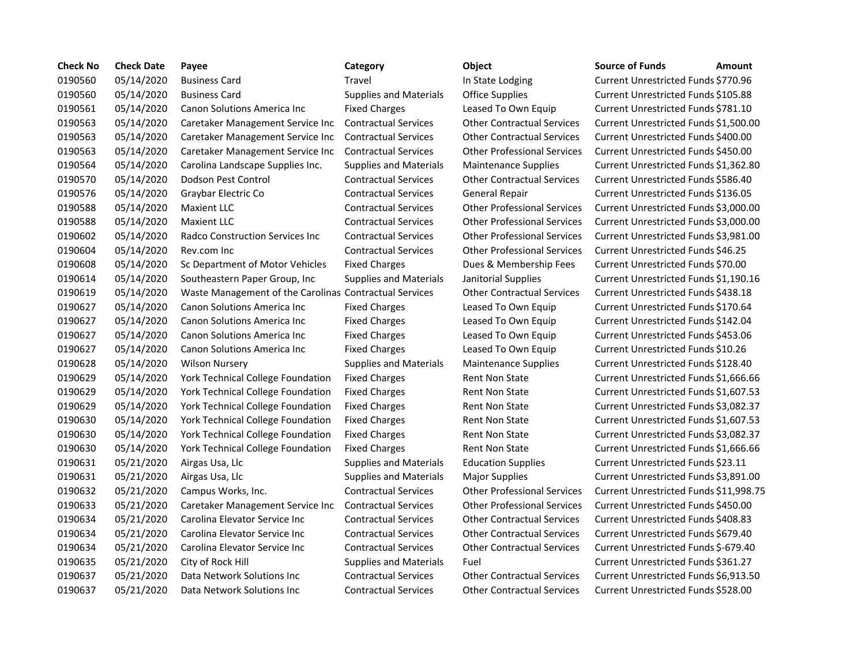| <b>Check No</b> | <b>Check Date</b> | Payee                                                  | Category                      | Object                             | <b>Source of Funds</b>                     | Amount |
|-----------------|-------------------|--------------------------------------------------------|-------------------------------|------------------------------------|--------------------------------------------|--------|
| 0190560         | 05/14/2020        | <b>Business Card</b>                                   | <b>Travel</b>                 | In State Lodging                   | Current Unrestricted Funds \$770.96        |        |
| 0190560         | 05/14/2020        | <b>Business Card</b>                                   | <b>Supplies and Materials</b> | <b>Office Supplies</b>             | Current Unrestricted Funds \$105.88        |        |
| 0190561         | 05/14/2020        | <b>Canon Solutions America Inc.</b>                    | <b>Fixed Charges</b>          | Leased To Own Equip                | Current Unrestricted Funds \$781.10        |        |
| 0190563         | 05/14/2020        | Caretaker Management Service Inc                       | <b>Contractual Services</b>   | <b>Other Contractual Services</b>  | Current Unrestricted Funds \$1,500.0       |        |
| 0190563         | 05/14/2020        | Caretaker Management Service Inc                       | <b>Contractual Services</b>   | <b>Other Contractual Services</b>  | Current Unrestricted Funds \$400.00        |        |
| 0190563         | 05/14/2020        | Caretaker Management Service Inc                       | <b>Contractual Services</b>   | <b>Other Professional Services</b> | Current Unrestricted Funds \$450.00        |        |
| 0190564         | 05/14/2020        | Carolina Landscape Supplies Inc.                       | <b>Supplies and Materials</b> | <b>Maintenance Supplies</b>        | Current Unrestricted Funds \$1,362.8       |        |
| 0190570         | 05/14/2020        | Dodson Pest Control                                    | <b>Contractual Services</b>   | <b>Other Contractual Services</b>  | Current Unrestricted Funds \$586.40        |        |
| 0190576         | 05/14/2020        | Graybar Electric Co                                    | <b>Contractual Services</b>   | <b>General Repair</b>              | Current Unrestricted Funds \$136.05        |        |
| 0190588         | 05/14/2020        | <b>Maxient LLC</b>                                     | <b>Contractual Services</b>   | <b>Other Professional Services</b> | Current Unrestricted Funds \$3,000.0       |        |
| 0190588         | 05/14/2020        | <b>Maxient LLC</b>                                     | <b>Contractual Services</b>   | <b>Other Professional Services</b> | Current Unrestricted Funds \$3,000.0       |        |
| 0190602         | 05/14/2020        | Radco Construction Services Inc                        | <b>Contractual Services</b>   | <b>Other Professional Services</b> | Current Unrestricted Funds \$3,981.0       |        |
| 0190604         | 05/14/2020        | Rev.com Inc                                            | <b>Contractual Services</b>   | <b>Other Professional Services</b> | Current Unrestricted Funds \$46.25         |        |
| 0190608         | 05/14/2020        | Sc Department of Motor Vehicles                        | <b>Fixed Charges</b>          | Dues & Membership Fees             | Current Unrestricted Funds \$70.00         |        |
| 0190614         | 05/14/2020        | Southeastern Paper Group, Inc                          | <b>Supplies and Materials</b> | Janitorial Supplies                | Current Unrestricted Funds \$1,190.1       |        |
| 0190619         | 05/14/2020        | Waste Management of the Carolinas Contractual Services |                               | <b>Other Contractual Services</b>  | Current Unrestricted Funds \$438.18        |        |
| 0190627         | 05/14/2020        | Canon Solutions America Inc                            | <b>Fixed Charges</b>          | Leased To Own Equip                | Current Unrestricted Funds \$170.64        |        |
| 0190627         | 05/14/2020        | <b>Canon Solutions America Inc</b>                     | <b>Fixed Charges</b>          | Leased To Own Equip                | Current Unrestricted Funds \$142.04        |        |
| 0190627         | 05/14/2020        | Canon Solutions America Inc                            | <b>Fixed Charges</b>          | Leased To Own Equip                | <b>Current Unrestricted Funds \$453.06</b> |        |
| 0190627         | 05/14/2020        | <b>Canon Solutions America Inc.</b>                    | <b>Fixed Charges</b>          | Leased To Own Equip                | Current Unrestricted Funds \$10.26         |        |
| 0190628         | 05/14/2020        | <b>Wilson Nursery</b>                                  | <b>Supplies and Materials</b> | <b>Maintenance Supplies</b>        | Current Unrestricted Funds \$128.40        |        |
| 0190629         | 05/14/2020        | York Technical College Foundation                      | <b>Fixed Charges</b>          | <b>Rent Non State</b>              | Current Unrestricted Funds \$1,666.6       |        |
| 0190629         | 05/14/2020        | York Technical College Foundation                      | <b>Fixed Charges</b>          | <b>Rent Non State</b>              | Current Unrestricted Funds \$1,607.5       |        |
| 0190629         | 05/14/2020        | York Technical College Foundation                      | <b>Fixed Charges</b>          | <b>Rent Non State</b>              | Current Unrestricted Funds \$3,082.3       |        |
| 0190630         | 05/14/2020        | York Technical College Foundation                      | <b>Fixed Charges</b>          | <b>Rent Non State</b>              | Current Unrestricted Funds \$1,607.5       |        |
| 0190630         | 05/14/2020        | York Technical College Foundation                      | <b>Fixed Charges</b>          | <b>Rent Non State</b>              | Current Unrestricted Funds \$3,082.3       |        |
| 0190630         | 05/14/2020        | York Technical College Foundation                      | <b>Fixed Charges</b>          | <b>Rent Non State</b>              | Current Unrestricted Funds \$1,666.6       |        |
| 0190631         | 05/21/2020        | Airgas Usa, Llc                                        | <b>Supplies and Materials</b> | <b>Education Supplies</b>          | Current Unrestricted Funds \$23.11         |        |
| 0190631         | 05/21/2020        | Airgas Usa, Llc                                        | <b>Supplies and Materials</b> | <b>Major Supplies</b>              | Current Unrestricted Funds \$3,891.0       |        |
| 0190632         | 05/21/2020        | Campus Works, Inc.                                     | <b>Contractual Services</b>   | <b>Other Professional Services</b> | Current Unrestricted Funds \$11,998        |        |
| 0190633         | 05/21/2020        | Caretaker Management Service Inc                       | <b>Contractual Services</b>   | <b>Other Professional Services</b> | Current Unrestricted Funds \$450.00        |        |
| 0190634         | 05/21/2020        | Carolina Elevator Service Inc                          | <b>Contractual Services</b>   | <b>Other Contractual Services</b>  | Current Unrestricted Funds \$408.83        |        |
| 0190634         | 05/21/2020        | Carolina Elevator Service Inc                          | <b>Contractual Services</b>   | <b>Other Contractual Services</b>  | Current Unrestricted Funds \$679.40        |        |
| 0190634         | 05/21/2020        | Carolina Elevator Service Inc                          | <b>Contractual Services</b>   | <b>Other Contractual Services</b>  | Current Unrestricted Funds \$-679.40       |        |
| 0190635         | 05/21/2020        | City of Rock Hill                                      | <b>Supplies and Materials</b> | Fuel                               | Current Unrestricted Funds \$361.27        |        |
| 0190637         | 05/21/2020        | Data Network Solutions Inc                             | <b>Contractual Services</b>   | <b>Other Contractual Services</b>  | Current Unrestricted Funds \$6,913.5       |        |
| 0190637         | 05/21/2020        | Data Network Solutions Inc                             | <b>Contractual Services</b>   | <b>Other Contractual Services</b>  | Current Unrestricted Funds \$528.00        |        |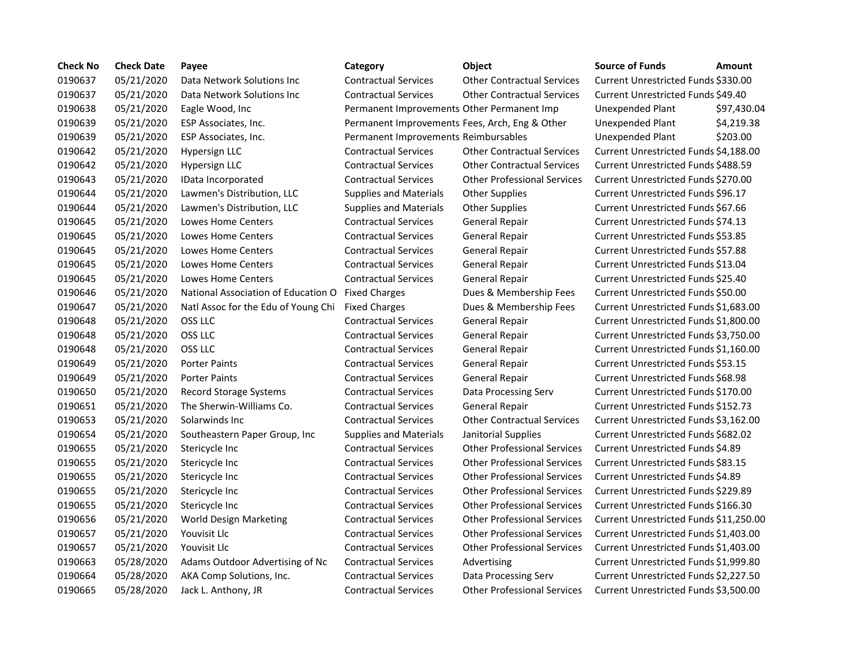| <b>Check No</b> | <b>Check Date</b> | Payee                               | Category                                       | Object                             | <b>Source of Funds</b>               | Amount    |
|-----------------|-------------------|-------------------------------------|------------------------------------------------|------------------------------------|--------------------------------------|-----------|
| 0190637         | 05/21/2020        | Data Network Solutions Inc          | <b>Contractual Services</b>                    | <b>Other Contractual Services</b>  | Current Unrestricted Funds \$330.00  |           |
| 0190637         | 05/21/2020        | Data Network Solutions Inc          | <b>Contractual Services</b>                    | <b>Other Contractual Services</b>  | Current Unrestricted Funds \$49.40   |           |
| 0190638         | 05/21/2020        | Eagle Wood, Inc                     | Permanent Improvements Other Permanent Imp     |                                    | Unexpended Plant                     | \$97,430  |
| 0190639         | 05/21/2020        | ESP Associates, Inc.                | Permanent Improvements Fees, Arch, Eng & Other |                                    | Unexpended Plant                     | \$4,219.3 |
| 0190639         | 05/21/2020        | ESP Associates, Inc.                | Permanent Improvements Reimbursables           |                                    | Unexpended Plant                     | \$203.00  |
| 0190642         | 05/21/2020        | Hypersign LLC                       | <b>Contractual Services</b>                    | <b>Other Contractual Services</b>  | Current Unrestricted Funds \$4,188.0 |           |
| 0190642         | 05/21/2020        | <b>Hypersign LLC</b>                | <b>Contractual Services</b>                    | <b>Other Contractual Services</b>  | Current Unrestricted Funds \$488.59  |           |
| 0190643         | 05/21/2020        | IData Incorporated                  | <b>Contractual Services</b>                    | <b>Other Professional Services</b> | Current Unrestricted Funds \$270.00  |           |
| 0190644         | 05/21/2020        | Lawmen's Distribution, LLC          | <b>Supplies and Materials</b>                  | <b>Other Supplies</b>              | Current Unrestricted Funds \$96.17   |           |
| 0190644         | 05/21/2020        | Lawmen's Distribution, LLC          | <b>Supplies and Materials</b>                  | <b>Other Supplies</b>              | Current Unrestricted Funds \$67.66   |           |
| 0190645         | 05/21/2020        | Lowes Home Centers                  | <b>Contractual Services</b>                    | General Repair                     | Current Unrestricted Funds \$74.13   |           |
| 0190645         | 05/21/2020        | Lowes Home Centers                  | <b>Contractual Services</b>                    | <b>General Repair</b>              | Current Unrestricted Funds \$53.85   |           |
| 0190645         | 05/21/2020        | Lowes Home Centers                  | <b>Contractual Services</b>                    | <b>General Repair</b>              | Current Unrestricted Funds \$57.88   |           |
| 0190645         | 05/21/2020        | Lowes Home Centers                  | <b>Contractual Services</b>                    | General Repair                     | Current Unrestricted Funds \$13.04   |           |
| 0190645         | 05/21/2020        | Lowes Home Centers                  | <b>Contractual Services</b>                    | <b>General Repair</b>              | Current Unrestricted Funds \$25.40   |           |
| 0190646         | 05/21/2020        | National Association of Education O | <b>Fixed Charges</b>                           | Dues & Membership Fees             | Current Unrestricted Funds \$50.00   |           |
| 0190647         | 05/21/2020        | Natl Assoc for the Edu of Young Chi | <b>Fixed Charges</b>                           | Dues & Membership Fees             | Current Unrestricted Funds \$1,683.0 |           |
| 0190648         | 05/21/2020        | OSS LLC                             | <b>Contractual Services</b>                    | <b>General Repair</b>              | Current Unrestricted Funds \$1,800.0 |           |
| 0190648         | 05/21/2020        | OSS LLC                             | <b>Contractual Services</b>                    | <b>General Repair</b>              | Current Unrestricted Funds \$3,750.0 |           |
| 0190648         | 05/21/2020        | OSS LLC                             | <b>Contractual Services</b>                    | <b>General Repair</b>              | Current Unrestricted Funds \$1,160.0 |           |
| 0190649         | 05/21/2020        | <b>Porter Paints</b>                | <b>Contractual Services</b>                    | <b>General Repair</b>              | Current Unrestricted Funds \$53.15   |           |
| 0190649         | 05/21/2020        | <b>Porter Paints</b>                | <b>Contractual Services</b>                    | <b>General Repair</b>              | Current Unrestricted Funds \$68.98   |           |
| 0190650         | 05/21/2020        | <b>Record Storage Systems</b>       | <b>Contractual Services</b>                    | Data Processing Serv               | Current Unrestricted Funds \$170.00  |           |
| 0190651         | 05/21/2020        | The Sherwin-Williams Co.            | <b>Contractual Services</b>                    | <b>General Repair</b>              | Current Unrestricted Funds \$152.73  |           |
| 0190653         | 05/21/2020        | Solarwinds Inc                      | <b>Contractual Services</b>                    | <b>Other Contractual Services</b>  | Current Unrestricted Funds \$3,162.0 |           |
| 0190654         | 05/21/2020        | Southeastern Paper Group, Inc       | <b>Supplies and Materials</b>                  | Janitorial Supplies                | Current Unrestricted Funds \$682.02  |           |
| 0190655         | 05/21/2020        | Stericycle Inc                      | <b>Contractual Services</b>                    | <b>Other Professional Services</b> | Current Unrestricted Funds \$4.89    |           |
| 0190655         | 05/21/2020        | Stericycle Inc                      | <b>Contractual Services</b>                    | <b>Other Professional Services</b> | Current Unrestricted Funds \$83.15   |           |
| 0190655         | 05/21/2020        | Stericycle Inc                      | <b>Contractual Services</b>                    | <b>Other Professional Services</b> | Current Unrestricted Funds \$4.89    |           |
| 0190655         | 05/21/2020        | Stericycle Inc                      | <b>Contractual Services</b>                    | <b>Other Professional Services</b> | Current Unrestricted Funds \$229.89  |           |
| 0190655         | 05/21/2020        | Stericycle Inc                      | <b>Contractual Services</b>                    | <b>Other Professional Services</b> | Current Unrestricted Funds \$166.30  |           |
| 0190656         | 05/21/2020        | World Design Marketing              | <b>Contractual Services</b>                    | <b>Other Professional Services</b> | Current Unrestricted Funds \$11,250  |           |
| 0190657         | 05/21/2020        | Youvisit Llc                        | <b>Contractual Services</b>                    | <b>Other Professional Services</b> | Current Unrestricted Funds \$1,403.  |           |
| 0190657         | 05/21/2020        | Youvisit Llc                        | <b>Contractual Services</b>                    | <b>Other Professional Services</b> | Current Unrestricted Funds \$1,403.  |           |
| 0190663         | 05/28/2020        | Adams Outdoor Advertising of Nc     | <b>Contractual Services</b>                    | Advertising                        | Current Unrestricted Funds \$1,999.8 |           |
| 0190664         | 05/28/2020        | AKA Comp Solutions, Inc.            | <b>Contractual Services</b>                    | Data Processing Serv               | Current Unrestricted Funds \$2,227.5 |           |
| 0190665         | 05/28/2020        | Jack L. Anthony, JR                 | <b>Contractual Services</b>                    | <b>Other Professional Services</b> | Current Unrestricted Funds \$3,500.0 |           |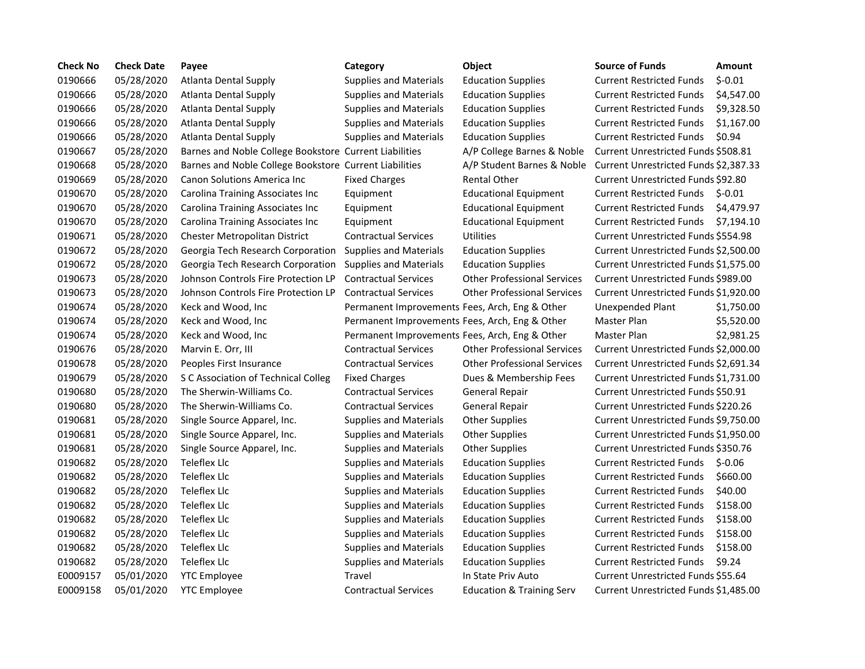| <b>Check No</b> | <b>Check Date</b> | Payee                                                  | Category                                       | <b>Object</b>                        | <b>Source of Funds</b>                | <b>Amount</b> |
|-----------------|-------------------|--------------------------------------------------------|------------------------------------------------|--------------------------------------|---------------------------------------|---------------|
| 0190666         | 05/28/2020        | <b>Atlanta Dental Supply</b>                           | <b>Supplies and Materials</b>                  | <b>Education Supplies</b>            | <b>Current Restricted Funds</b>       | $$-0.01$      |
| 0190666         | 05/28/2020        | <b>Atlanta Dental Supply</b>                           | <b>Supplies and Materials</b>                  | <b>Education Supplies</b>            | <b>Current Restricted Funds</b>       | \$4,547.00    |
| 0190666         | 05/28/2020        | <b>Atlanta Dental Supply</b>                           | <b>Supplies and Materials</b>                  | <b>Education Supplies</b>            | <b>Current Restricted Funds</b>       | \$9,328.50    |
| 0190666         | 05/28/2020        | Atlanta Dental Supply                                  | <b>Supplies and Materials</b>                  | <b>Education Supplies</b>            | <b>Current Restricted Funds</b>       | \$1,167.00    |
| 0190666         | 05/28/2020        | <b>Atlanta Dental Supply</b>                           | <b>Supplies and Materials</b>                  | <b>Education Supplies</b>            | <b>Current Restricted Funds</b>       | \$0.94        |
| 0190667         | 05/28/2020        | Barnes and Noble College Bookstore Current Liabilities |                                                | A/P College Barnes & Noble           | Current Unrestricted Funds \$508.81   |               |
| 0190668         | 05/28/2020        | Barnes and Noble College Bookstore Current Liabilities |                                                | A/P Student Barnes & Noble           | Current Unrestricted Funds \$2,387.33 |               |
| 0190669         | 05/28/2020        | <b>Canon Solutions America Inc.</b>                    | <b>Fixed Charges</b>                           | <b>Rental Other</b>                  | Current Unrestricted Funds \$92.80    |               |
| 0190670         | 05/28/2020        | Carolina Training Associates Inc                       | Equipment                                      | <b>Educational Equipment</b>         | <b>Current Restricted Funds</b>       | $$-0.01$      |
| 0190670         | 05/28/2020        | Carolina Training Associates Inc                       | Equipment                                      | <b>Educational Equipment</b>         | <b>Current Restricted Funds</b>       | \$4,479.97    |
| 0190670         | 05/28/2020        | Carolina Training Associates Inc                       | Equipment                                      | <b>Educational Equipment</b>         | <b>Current Restricted Funds</b>       | \$7,194.10    |
| 0190671         | 05/28/2020        | Chester Metropolitan District                          | <b>Contractual Services</b>                    | <b>Utilities</b>                     | Current Unrestricted Funds \$554.98   |               |
| 0190672         | 05/28/2020        | Georgia Tech Research Corporation                      | <b>Supplies and Materials</b>                  | <b>Education Supplies</b>            | Current Unrestricted Funds \$2,500.00 |               |
| 0190672         | 05/28/2020        | Georgia Tech Research Corporation                      | <b>Supplies and Materials</b>                  | <b>Education Supplies</b>            | Current Unrestricted Funds \$1,575.00 |               |
| 0190673         | 05/28/2020        | Johnson Controls Fire Protection LP                    | <b>Contractual Services</b>                    | <b>Other Professional Services</b>   | Current Unrestricted Funds \$989.00   |               |
| 0190673         | 05/28/2020        | Johnson Controls Fire Protection LP                    | <b>Contractual Services</b>                    | <b>Other Professional Services</b>   | Current Unrestricted Funds \$1,920.00 |               |
| 0190674         | 05/28/2020        | Keck and Wood, Inc                                     | Permanent Improvements Fees, Arch, Eng & Other |                                      | Unexpended Plant                      | \$1,750.00    |
| 0190674         | 05/28/2020        | Keck and Wood, Inc                                     | Permanent Improvements Fees, Arch, Eng & Other |                                      | <b>Master Plan</b>                    | \$5,520.00    |
| 0190674         | 05/28/2020        | Keck and Wood, Inc                                     | Permanent Improvements Fees, Arch, Eng & Other |                                      | Master Plan                           | \$2,981.25    |
| 0190676         | 05/28/2020        | Marvin E. Orr, III                                     | <b>Contractual Services</b>                    | <b>Other Professional Services</b>   | Current Unrestricted Funds \$2,000.00 |               |
| 0190678         | 05/28/2020        | Peoples First Insurance                                | <b>Contractual Services</b>                    | <b>Other Professional Services</b>   | Current Unrestricted Funds \$2,691.34 |               |
| 0190679         | 05/28/2020        | S C Association of Technical Colleg                    | <b>Fixed Charges</b>                           | Dues & Membership Fees               | Current Unrestricted Funds \$1,731.00 |               |
| 0190680         | 05/28/2020        | The Sherwin-Williams Co.                               | <b>Contractual Services</b>                    | <b>General Repair</b>                | Current Unrestricted Funds \$50.91    |               |
| 0190680         | 05/28/2020        | The Sherwin-Williams Co.                               | <b>Contractual Services</b>                    | <b>General Repair</b>                | Current Unrestricted Funds \$220.26   |               |
| 0190681         | 05/28/2020        | Single Source Apparel, Inc.                            | <b>Supplies and Materials</b>                  | <b>Other Supplies</b>                | Current Unrestricted Funds \$9,750.00 |               |
| 0190681         | 05/28/2020        | Single Source Apparel, Inc.                            | <b>Supplies and Materials</b>                  | <b>Other Supplies</b>                | Current Unrestricted Funds \$1,950.00 |               |
| 0190681         | 05/28/2020        | Single Source Apparel, Inc.                            | <b>Supplies and Materials</b>                  | <b>Other Supplies</b>                | Current Unrestricted Funds \$350.76   |               |
| 0190682         | 05/28/2020        | Teleflex Llc                                           | <b>Supplies and Materials</b>                  | <b>Education Supplies</b>            | <b>Current Restricted Funds</b>       | $S-0.06$      |
| 0190682         | 05/28/2020        | <b>Teleflex Llc</b>                                    | <b>Supplies and Materials</b>                  | <b>Education Supplies</b>            | <b>Current Restricted Funds</b>       | \$660.00      |
| 0190682         | 05/28/2020        | <b>Teleflex Llc</b>                                    | <b>Supplies and Materials</b>                  | <b>Education Supplies</b>            | <b>Current Restricted Funds</b>       | \$40.00       |
| 0190682         | 05/28/2020        | <b>Teleflex Llc</b>                                    | <b>Supplies and Materials</b>                  | <b>Education Supplies</b>            | <b>Current Restricted Funds</b>       | \$158.00      |
| 0190682         | 05/28/2020        | Teleflex Llc                                           | <b>Supplies and Materials</b>                  | <b>Education Supplies</b>            | <b>Current Restricted Funds</b>       | \$158.00      |
| 0190682         | 05/28/2020        | Teleflex Llc                                           | <b>Supplies and Materials</b>                  | <b>Education Supplies</b>            | <b>Current Restricted Funds</b>       | \$158.00      |
| 0190682         | 05/28/2020        | <b>Teleflex Llc</b>                                    | <b>Supplies and Materials</b>                  | <b>Education Supplies</b>            | <b>Current Restricted Funds</b>       | \$158.00      |
| 0190682         | 05/28/2020        | <b>Teleflex Llc</b>                                    | <b>Supplies and Materials</b>                  | <b>Education Supplies</b>            | <b>Current Restricted Funds</b>       | \$9.24        |
| E0009157        | 05/01/2020        | <b>YTC Employee</b>                                    | <b>Travel</b>                                  | In State Priv Auto                   | Current Unrestricted Funds \$55.64    |               |
| E0009158        | 05/01/2020        | <b>YTC Employee</b>                                    | <b>Contractual Services</b>                    | <b>Education &amp; Training Serv</b> | Current Unrestricted Funds \$1,485.00 |               |